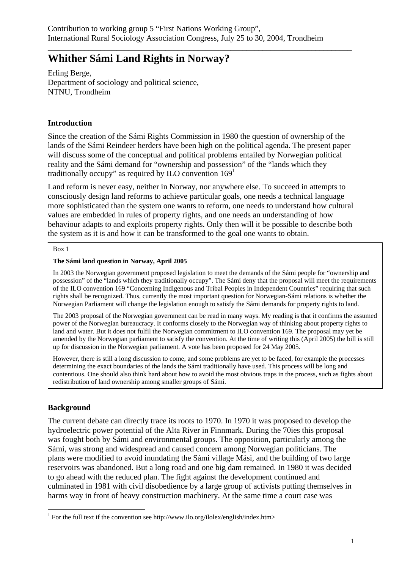\_\_\_\_\_\_\_\_\_\_\_\_\_\_\_\_\_\_\_\_\_\_\_\_\_\_\_\_\_\_\_\_\_\_\_\_\_\_\_\_\_\_\_\_\_\_\_\_\_\_\_\_\_\_\_\_\_\_\_\_\_\_\_\_\_\_\_\_\_\_\_\_\_\_\_

# **Whither Sámi Land Rights in Norway?**

Erling Berge, Department of sociology and political science, NTNU, Trondheim

## **Introduction**

Since the creation of the Sámi Rights Commission in 1980 the question of ownership of the lands of the Sámi Reindeer herders have been high on the political agenda. The present paper will discuss some of the conceptual and political problems entailed by Norwegian political reality and the Sámi demand for "ownership and possession" of the "lands which they traditionally occupy" as required by ILO convention  $169<sup>1</sup>$ 

Land reform is never easy, neither in Norway, nor anywhere else. To succeed in attempts to consciously design land reforms to achieve particular goals, one needs a technical language more sophisticated than the system one wants to reform, one needs to understand how cultural values are embedded in rules of property rights, and one needs an understanding of how behaviour adapts to and exploits property rights. Only then will it be possible to describe both the system as it is and how it can be transformed to the goal one wants to obtain.

#### Box 1

#### **The Sámi land question in Norway, April 2005**

In 2003 the Norwegian government proposed legislation to meet the demands of the Sámi people for "ownership and possession" of the "lands which they traditionally occupy". The Sámi deny that the proposal will meet the requirements of the ILO convention 169 "Concerning Indigenous and Tribal Peoples in Independent Countries" requiring that such rights shall be recognized. Thus, currently the most important question for Norwegian-Sámi relations is whether the Norwegian Parliament will change the legislation enough to satisfy the Sámi demands for property rights to land.

The 2003 proposal of the Norwegian government can be read in many ways. My reading is that it confirms the assumed power of the Norwegian bureaucracy. It conforms closely to the Norwegian way of thinking about property rights to land and water. But it does not fulfil the Norwegian commitment to ILO convention 169. The proposal may yet be amended by the Norwegian parliament to satisfy the convention. At the time of writing this (April 2005) the bill is still up for discussion in the Norwegian parliament. A vote has been proposed for 24 May 2005.

However, there is still a long discussion to come, and some problems are yet to be faced, for example the processes determining the exact boundaries of the lands the Sámi traditionally have used. This process will be long and contentious. One should also think hard about how to avoid the most obvious traps in the process, such as fights about redistribution of land ownership among smaller groups of Sámi.

# **Background**

1

The current debate can directly trace its roots to 1970. In 1970 it was proposed to develop the hydroelectric power potential of the Alta River in Finnmark. During the 70ies this proposal was fought both by Sámi and environmental groups. The opposition, particularly among the Sámi, was strong and widespread and caused concern among Norwegian politicians. The plans were modified to avoid inundating the Sámi village Mási, and the building of two large reservoirs was abandoned. But a long road and one big dam remained. In 1980 it was decided to go ahead with the reduced plan. The fight against the development continued and culminated in 1981 with civil disobedience by a large group of activists putting themselves in harms way in front of heavy construction machinery. At the same time a court case was

<sup>&</sup>lt;sup>1</sup> For the full text if the convention see http://www.ilo.org/ilolex/english/index.htm>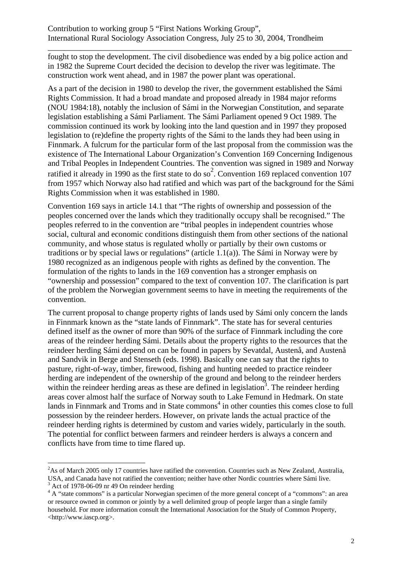fought to stop the development. The civil disobedience was ended by a big police action and in 1982 the Supreme Court decided the decision to develop the river was legitimate. The construction work went ahead, and in 1987 the power plant was operational.

\_\_\_\_\_\_\_\_\_\_\_\_\_\_\_\_\_\_\_\_\_\_\_\_\_\_\_\_\_\_\_\_\_\_\_\_\_\_\_\_\_\_\_\_\_\_\_\_\_\_\_\_\_\_\_\_\_\_\_\_\_\_\_\_\_\_\_\_\_\_\_\_\_\_\_

As a part of the decision in 1980 to develop the river, the government established the Sámi Rights Commission. It had a broad mandate and proposed already in 1984 major reforms (NOU 1984:18), notably the inclusion of Sámi in the Norwegian Constitution, and separate legislation establishing a Sámi Parliament. The Sámi Parliament opened 9 Oct 1989. The commission continued its work by looking into the land question and in 1997 they proposed legislation to (re)define the property rights of the Sámi to the lands they had been using in Finnmark. A fulcrum for the particular form of the last proposal from the commission was the existence of The International Labour Organization's Convention 169 Concerning Indigenous and Tribal Peoples in Independent Countries. The convention was signed in 1989 and Norway ratified it already in 1990 as the first state to do so<sup>2</sup>. Convention 169 replaced convention 107 from 1957 which Norway also had ratified and which was part of the background for the Sámi Rights Commission when it was established in 1980.

Convention 169 says in article 14.1 that "The rights of ownership and possession of the peoples concerned over the lands which they traditionally occupy shall be recognised." The peoples referred to in the convention are "tribal peoples in independent countries whose social, cultural and economic conditions distinguish them from other sections of the national community, and whose status is regulated wholly or partially by their own customs or traditions or by special laws or regulations" (article 1.1(a)). The Sámi in Norway were by 1980 recognized as an indigenous people with rights as defined by the convention. The formulation of the rights to lands in the 169 convention has a stronger emphasis on "ownership and possession" compared to the text of convention 107. The clarification is part of the problem the Norwegian government seems to have in meeting the requirements of the convention.

The current proposal to change property rights of lands used by Sámi only concern the lands in Finnmark known as the "state lands of Finnmark". The state has for several centuries defined itself as the owner of more than 90% of the surface of Finnmark including the core areas of the reindeer herding Sámi. Details about the property rights to the resources that the reindeer herding Sámi depend on can be found in papers by Sevatdal, Austenå, and Austenå and Sandvik in Berge and Stenseth (eds. 1998). Basically one can say that the rights to pasture, right-of-way, timber, firewood, fishing and hunting needed to practice reindeer herding are independent of the ownership of the ground and belong to the reindeer herders within the reindeer herding areas as these are defined in legislation<sup>3</sup>. The reindeer herding areas cover almost half the surface of Norway south to Lake Femund in Hedmark. On state lands in Finnmark and Troms and in State commons<sup>4</sup> in other counties this comes close to full possession by the reindeer herders. However, on private lands the actual practice of the reindeer herding rights is determined by custom and varies widely, particularly in the south. The potential for conflict between farmers and reindeer herders is always a concern and conflicts have from time to time flared up.

<sup>&</sup>lt;sup>2</sup>As of March 2005 only 17 countries have ratified the convention. Countries such as New Zealand, Australia, USA, and Canada have not ratified the convention; neither have other Nordic countries where Sámi live.  $3$  Act of 1978-06-09 nr 49 On reindeer herding

 $4 \text{ A}$  "state commons" is a particular Norwegian specimen of the more general concept of a "commons": an area or resource owned in common or jointly by a well delimited group of people larger than a single family household. For more information consult the International Association for the Study of Common Property, <http://www.iascp.org>.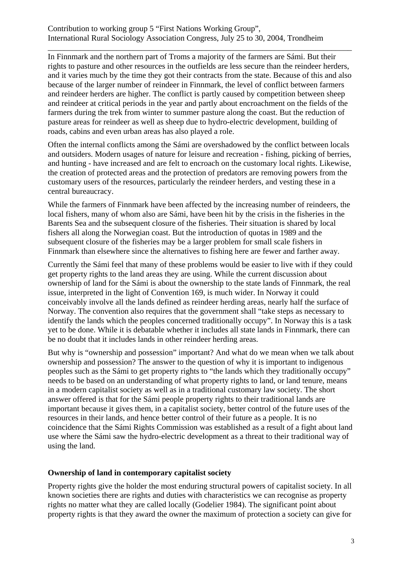In Finnmark and the northern part of Troms a majority of the farmers are Sámi. But their rights to pasture and other resources in the outfields are less secure than the reindeer herders, and it varies much by the time they got their contracts from the state. Because of this and also because of the larger number of reindeer in Finnmark, the level of conflict between farmers and reindeer herders are higher. The conflict is partly caused by competition between sheep and reindeer at critical periods in the year and partly about encroachment on the fields of the farmers during the trek from winter to summer pasture along the coast. But the reduction of pasture areas for reindeer as well as sheep due to hydro-electric development, building of roads, cabins and even urban areas has also played a role.

\_\_\_\_\_\_\_\_\_\_\_\_\_\_\_\_\_\_\_\_\_\_\_\_\_\_\_\_\_\_\_\_\_\_\_\_\_\_\_\_\_\_\_\_\_\_\_\_\_\_\_\_\_\_\_\_\_\_\_\_\_\_\_\_\_\_\_\_\_\_\_\_\_\_\_

Often the internal conflicts among the Sámi are overshadowed by the conflict between locals and outsiders. Modern usages of nature for leisure and recreation - fishing, picking of berries, and hunting - have increased and are felt to encroach on the customary local rights. Likewise, the creation of protected areas and the protection of predators are removing powers from the customary users of the resources, particularly the reindeer herders, and vesting these in a central bureaucracy.

While the farmers of Finnmark have been affected by the increasing number of reindeers, the local fishers, many of whom also are Sámi, have been hit by the crisis in the fisheries in the Barents Sea and the subsequent closure of the fisheries. Their situation is shared by local fishers all along the Norwegian coast. But the introduction of quotas in 1989 and the subsequent closure of the fisheries may be a larger problem for small scale fishers in Finnmark than elsewhere since the alternatives to fishing here are fewer and farther away.

Currently the Sámi feel that many of these problems would be easier to live with if they could get property rights to the land areas they are using. While the current discussion about ownership of land for the Sámi is about the ownership to the state lands of Finnmark, the real issue, interpreted in the light of Convention 169, is much wider. In Norway it could conceivably involve all the lands defined as reindeer herding areas, nearly half the surface of Norway. The convention also requires that the government shall "take steps as necessary to identify the lands which the peoples concerned traditionally occupy". In Norway this is a task yet to be done. While it is debatable whether it includes all state lands in Finnmark, there can be no doubt that it includes lands in other reindeer herding areas.

But why is "ownership and possession" important? And what do we mean when we talk about ownership and possession? The answer to the question of why it is important to indigenous peoples such as the Sámi to get property rights to "the lands which they traditionally occupy" needs to be based on an understanding of what property rights to land, or land tenure, means in a modern capitalist society as well as in a traditional customary law society. The short answer offered is that for the Sámi people property rights to their traditional lands are important because it gives them, in a capitalist society, better control of the future uses of the resources in their lands, and hence better control of their future as a people. It is no coincidence that the Sámi Rights Commission was established as a result of a fight about land use where the Sámi saw the hydro-electric development as a threat to their traditional way of using the land.

## **Ownership of land in contemporary capitalist society**

Property rights give the holder the most enduring structural powers of capitalist society. In all known societies there are rights and duties with characteristics we can recognise as property rights no matter what they are called locally (Godelier 1984). The significant point about property rights is that they award the owner the maximum of protection a society can give for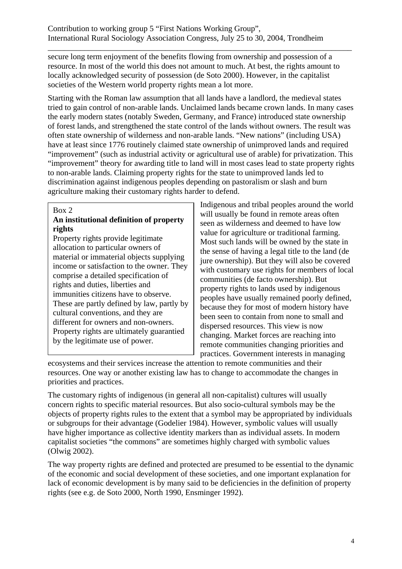secure long term enjoyment of the benefits flowing from ownership and possession of a resource. In most of the world this does not amount to much. At best, the rights amount to locally acknowledged security of possession (de Soto 2000). However, in the capitalist societies of the Western world property rights mean a lot more.

\_\_\_\_\_\_\_\_\_\_\_\_\_\_\_\_\_\_\_\_\_\_\_\_\_\_\_\_\_\_\_\_\_\_\_\_\_\_\_\_\_\_\_\_\_\_\_\_\_\_\_\_\_\_\_\_\_\_\_\_\_\_\_\_\_\_\_\_\_\_\_\_\_\_\_

Starting with the Roman law assumption that all lands have a landlord, the medieval states tried to gain control of non-arable lands. Unclaimed lands became crown lands. In many cases the early modern states (notably Sweden, Germany, and France) introduced state ownership of forest lands, and strengthened the state control of the lands without owners. The result was often state ownership of wilderness and non-arable lands. "New nations" (including USA) have at least since 1776 routinely claimed state ownership of unimproved lands and required "improvement" (such as industrial activity or agricultural use of arable) for privatization. This "improvement" theory for awarding title to land will in most cases lead to state property rights to non-arable lands. Claiming property rights for the state to unimproved lands led to discrimination against indigenous peoples depending on pastoralism or slash and burn agriculture making their customary rights harder to defend.

#### Box 2

## **An institutional definition of property rights**

Property rights provide legitimate allocation to particular owners of material or immaterial objects supplying income or satisfaction to the owner. They comprise a detailed specification of rights and duties, liberties and immunities citizens have to observe. These are partly defined by law, partly by cultural conventions, and they are different for owners and non-owners. Property rights are ultimately guarantied by the legitimate use of power.

Indigenous and tribal peoples around the world will usually be found in remote areas often seen as wilderness and deemed to have low value for agriculture or traditional farming. Most such lands will be owned by the state in the sense of having a legal title to the land (de jure ownership). But they will also be covered with customary use rights for members of local communities (de facto ownership). But property rights to lands used by indigenous peoples have usually remained poorly defined, because they for most of modern history have been seen to contain from none to small and dispersed resources. This view is now changing. Market forces are reaching into remote communities changing priorities and practices. Government interests in managing

ecosystems and their services increase the attention to remote communities and their resources. One way or another existing law has to change to accommodate the changes in priorities and practices.

The customary rights of indigenous (in general all non-capitalist) cultures will usually concern rights to specific material resources. But also socio-cultural symbols may be the objects of property rights rules to the extent that a symbol may be appropriated by individuals or subgroups for their advantage (Godelier 1984). However, symbolic values will usually have higher importance as collective identity markers than as individual assets. In modern capitalist societies "the commons" are sometimes highly charged with symbolic values (Olwig 2002).

The way property rights are defined and protected are presumed to be essential to the dynamic of the economic and social development of these societies, and one important explanation for lack of economic development is by many said to be deficiencies in the definition of property rights (see e.g. de Soto 2000, North 1990, Ensminger 1992).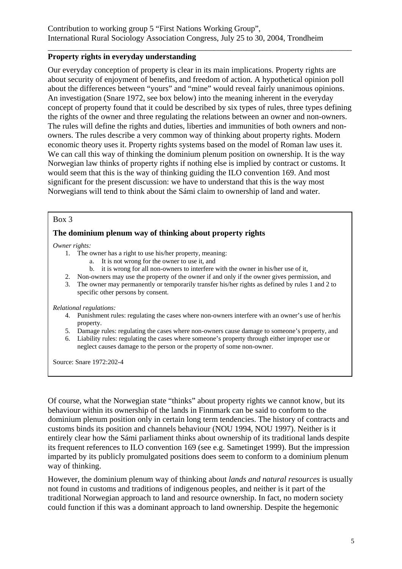### **Property rights in everyday understanding**

Our everyday conception of property is clear in its main implications. Property rights are about security of enjoyment of benefits, and freedom of action. A hypothetical opinion poll about the differences between "yours" and "mine" would reveal fairly unanimous opinions. An investigation (Snare 1972, see box below) into the meaning inherent in the everyday concept of property found that it could be described by six types of rules, three types defining the rights of the owner and three regulating the relations between an owner and non-owners. The rules will define the rights and duties, liberties and immunities of both owners and nonowners. The rules describe a very common way of thinking about property rights. Modern economic theory uses it. Property rights systems based on the model of Roman law uses it. We can call this way of thinking the dominium plenum position on ownership. It is the way Norwegian law thinks of property rights if nothing else is implied by contract or customs. It would seem that this is the way of thinking guiding the ILO convention 169. And most significant for the present discussion: we have to understand that this is the way most Norwegians will tend to think about the Sámi claim to ownership of land and water.

\_\_\_\_\_\_\_\_\_\_\_\_\_\_\_\_\_\_\_\_\_\_\_\_\_\_\_\_\_\_\_\_\_\_\_\_\_\_\_\_\_\_\_\_\_\_\_\_\_\_\_\_\_\_\_\_\_\_\_\_\_\_\_\_\_\_\_\_\_\_\_\_\_\_\_

### Box 3

### **The dominium plenum way of thinking about property rights**

*Owner rights:* 

- 1. The owner has a right to use his/her property, meaning:
	- a. It is not wrong for the owner to use it, and
	- b. it is wrong for all non-owners to interfere with the owner in his/her use of it,
- 2. Non-owners may use the property of the owner if and only if the owner gives permission, and
- 3. The owner may permanently or temporarily transfer his/her rights as defined by rules 1 and 2 to specific other persons by consent.

#### *Relational regulations:*

- 4. Punishment rules: regulating the cases where non-owners interfere with an owner's use of her/his property.
- 5. Damage rules: regulating the cases where non-owners cause damage to someone's property, and
- 6. Liability rules: regulating the cases where someone's property through either improper use or neglect causes damage to the person or the property of some non-owner.

Source: Snare 1972:202-4

Of course, what the Norwegian state "thinks" about property rights we cannot know, but its behaviour within its ownership of the lands in Finnmark can be said to conform to the dominium plenum position only in certain long term tendencies. The history of contracts and customs binds its position and channels behaviour (NOU 1994, NOU 1997). Neither is it entirely clear how the Sámi parliament thinks about ownership of its traditional lands despite its frequent references to ILO convention 169 (see e.g. Sametinget 1999). But the impression imparted by its publicly promulgated positions does seem to conform to a dominium plenum way of thinking.

However, the dominium plenum way of thinking about *lands and natural resources* is usually not found in customs and traditions of indigenous peoples, and neither is it part of the traditional Norwegian approach to land and resource ownership. In fact, no modern society could function if this was a dominant approach to land ownership. Despite the hegemonic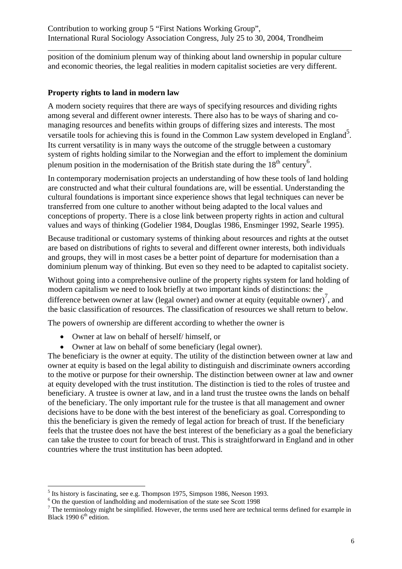position of the dominium plenum way of thinking about land ownership in popular culture and economic theories, the legal realities in modern capitalist societies are very different.

\_\_\_\_\_\_\_\_\_\_\_\_\_\_\_\_\_\_\_\_\_\_\_\_\_\_\_\_\_\_\_\_\_\_\_\_\_\_\_\_\_\_\_\_\_\_\_\_\_\_\_\_\_\_\_\_\_\_\_\_\_\_\_\_\_\_\_\_\_\_\_\_\_\_\_

#### **Property rights to land in modern law**

A modern society requires that there are ways of specifying resources and dividing rights among several and different owner interests. There also has to be ways of sharing and comanaging resources and benefits within groups of differing sizes and interests. The most versatile tools for achieving this is found in the Common Law system developed in England<sup>5</sup>. Its current versatility is in many ways the outcome of the struggle between a customary system of rights holding similar to the Norwegian and the effort to implement the dominium plenum position in the modernisation of the British state during the  $18<sup>th</sup>$  century<sup>6</sup>.

In contemporary modernisation projects an understanding of how these tools of land holding are constructed and what their cultural foundations are, will be essential. Understanding the cultural foundations is important since experience shows that legal techniques can never be transferred from one culture to another without being adapted to the local values and conceptions of property. There is a close link between property rights in action and cultural values and ways of thinking (Godelier 1984, Douglas 1986, Ensminger 1992, Searle 1995).

Because traditional or customary systems of thinking about resources and rights at the outset are based on distributions of rights to several and different owner interests, both individuals and groups, they will in most cases be a better point of departure for modernisation than a dominium plenum way of thinking. But even so they need to be adapted to capitalist society.

Without going into a comprehensive outline of the property rights system for land holding of modern capitalism we need to look briefly at two important kinds of distinctions: the difference between owner at law (legal owner) and owner at equity (equitable owner)<sup>7</sup>, and the basic classification of resources. The classification of resources we shall return to below.

The powers of ownership are different according to whether the owner is

- Owner at law on behalf of herself/ himself, or
- Owner at law on behalf of some beneficiary (legal owner).

The beneficiary is the owner at equity. The utility of the distinction between owner at law and owner at equity is based on the legal ability to distinguish and discriminate owners according to the motive or purpose for their ownership. The distinction between owner at law and owner at equity developed with the trust institution. The distinction is tied to the roles of trustee and beneficiary. A trustee is owner at law, and in a land trust the trustee owns the lands on behalf of the beneficiary. The only important rule for the trustee is that all management and owner decisions have to be done with the best interest of the beneficiary as goal. Corresponding to this the beneficiary is given the remedy of legal action for breach of trust. If the beneficiary feels that the trustee does not have the best interest of the beneficiary as a goal the beneficiary can take the trustee to court for breach of trust. This is straightforward in England and in other countries where the trust institution has been adopted.

 $<sup>5</sup>$  Its history is fascinating, see e.g. Thompson 1975, Simpson 1986, Neeson 1993.</sup>

<sup>6</sup> On the question of landholding and modernisation of the state see Scott 1998

 $<sup>7</sup>$  The terminology might be simplified. However, the terms used here are technical terms defined for example in</sup> Black 1990  $6<sup>th</sup>$  edition.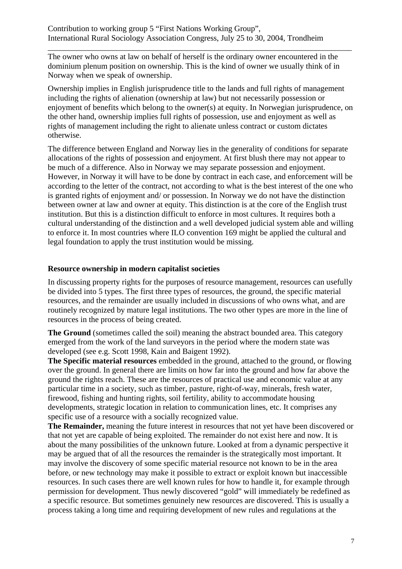\_\_\_\_\_\_\_\_\_\_\_\_\_\_\_\_\_\_\_\_\_\_\_\_\_\_\_\_\_\_\_\_\_\_\_\_\_\_\_\_\_\_\_\_\_\_\_\_\_\_\_\_\_\_\_\_\_\_\_\_\_\_\_\_\_\_\_\_\_\_\_\_\_\_\_ The owner who owns at law on behalf of herself is the ordinary owner encountered in the dominium plenum position on ownership. This is the kind of owner we usually think of in Norway when we speak of ownership.

Ownership implies in English jurisprudence title to the lands and full rights of management including the rights of alienation (ownership at law) but not necessarily possession or enjoyment of benefits which belong to the owner(s) at equity. In Norwegian jurisprudence, on the other hand, ownership implies full rights of possession, use and enjoyment as well as rights of management including the right to alienate unless contract or custom dictates otherwise.

The difference between England and Norway lies in the generality of conditions for separate allocations of the rights of possession and enjoyment. At first blush there may not appear to be much of a difference. Also in Norway we may separate possession and enjoyment. However, in Norway it will have to be done by contract in each case, and enforcement will be according to the letter of the contract, not according to what is the best interest of the one who is granted rights of enjoyment and/ or possession. In Norway we do not have the distinction between owner at law and owner at equity. This distinction is at the core of the English trust institution. But this is a distinction difficult to enforce in most cultures. It requires both a cultural understanding of the distinction and a well developed judicial system able and willing to enforce it. In most countries where ILO convention 169 might be applied the cultural and legal foundation to apply the trust institution would be missing.

### **Resource ownership in modern capitalist societies**

In discussing property rights for the purposes of resource management, resources can usefully be divided into 5 types. The first three types of resources, the ground, the specific material resources, and the remainder are usually included in discussions of who owns what, and are routinely recognized by mature legal institutions. The two other types are more in the line of resources in the process of being created.

**The Ground** (sometimes called the soil) meaning the abstract bounded area. This category emerged from the work of the land surveyors in the period where the modern state was developed (see e.g. Scott 1998, Kain and Baigent 1992).

**The Specific material resources** embedded in the ground, attached to the ground, or flowing over the ground. In general there are limits on how far into the ground and how far above the ground the rights reach. These are the resources of practical use and economic value at any particular time in a society, such as timber, pasture, right-of-way, minerals, fresh water, firewood, fishing and hunting rights, soil fertility, ability to accommodate housing developments, strategic location in relation to communication lines, etc. It comprises any specific use of a resource with a socially recognized value.

**The Remainder,** meaning the future interest in resources that not yet have been discovered or that not yet are capable of being exploited. The remainder do not exist here and now. It is about the many possibilities of the unknown future. Looked at from a dynamic perspective it may be argued that of all the resources the remainder is the strategically most important. It may involve the discovery of some specific material resource not known to be in the area before, or new technology may make it possible to extract or exploit known but inaccessible resources. In such cases there are well known rules for how to handle it, for example through permission for development. Thus newly discovered "gold" will immediately be redefined as a specific resource. But sometimes genuinely new resources are discovered. This is usually a process taking a long time and requiring development of new rules and regulations at the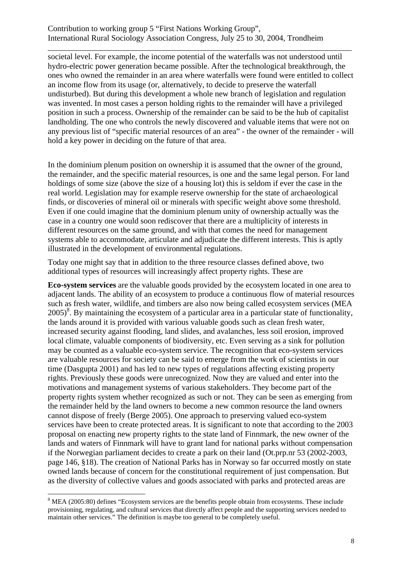societal level. For example, the income potential of the waterfalls was not understood until hydro-electric power generation became possible. After the technological breakthrough, the ones who owned the remainder in an area where waterfalls were found were entitled to collect an income flow from its usage (or, alternatively, to decide to preserve the waterfall undisturbed). But during this development a whole new branch of legislation and regulation was invented. In most cases a person holding rights to the remainder will have a privileged position in such a process. Ownership of the remainder can be said to be the hub of capitalist landholding. The one who controls the newly discovered and valuable items that were not on any previous list of "specific material resources of an area" - the owner of the remainder - will hold a key power in deciding on the future of that area.

\_\_\_\_\_\_\_\_\_\_\_\_\_\_\_\_\_\_\_\_\_\_\_\_\_\_\_\_\_\_\_\_\_\_\_\_\_\_\_\_\_\_\_\_\_\_\_\_\_\_\_\_\_\_\_\_\_\_\_\_\_\_\_\_\_\_\_\_\_\_\_\_\_\_\_

In the dominium plenum position on ownership it is assumed that the owner of the ground, the remainder, and the specific material resources, is one and the same legal person. For land holdings of some size (above the size of a housing lot) this is seldom if ever the case in the real world. Legislation may for example reserve ownership for the state of archaeological finds, or discoveries of mineral oil or minerals with specific weight above some threshold. Even if one could imagine that the dominium plenum unity of ownership actually was the case in a country one would soon rediscover that there are a multiplicity of interests in different resources on the same ground, and with that comes the need for management systems able to accommodate, articulate and adjudicate the different interests. This is aptly illustrated in the development of environmental regulations.

Today one might say that in addition to the three resource classes defined above, two additional types of resources will increasingly affect property rights. These are

**Eco-system services** are the valuable goods provided by the ecosystem located in one area to adjacent lands. The ability of an ecosystem to produce a continuous flow of material resources such as fresh water, wildlife, and timbers are also now being called ecosystem services (MEA  $2005$ <sup>8</sup>. By maintaining the ecosystem of a particular area in a particular state of functionality, the lands around it is provided with various valuable goods such as clean fresh water, increased security against flooding, land slides, and avalanches, less soil erosion, improved local climate, valuable components of biodiversity, etc. Even serving as a sink for pollution may be counted as a valuable eco-system service. The recognition that eco-system services are valuable resources for society can be said to emerge from the work of scientists in our time (Dasgupta 2001) and has led to new types of regulations affecting existing property rights. Previously these goods were unrecognized. Now they are valued and enter into the motivations and management systems of various stakeholders. They become part of the property rights system whether recognized as such or not. They can be seen as emerging from the remainder held by the land owners to become a new common resource the land owners cannot dispose of freely (Berge 2005). One approach to preserving valued eco-system services have been to create protected areas. It is significant to note that according to the 2003 proposal on enacting new property rights to the state land of Finnmark, the new owner of the lands and waters of Finnmark will have to grant land for national parks without compensation if the Norwegian parliament decides to create a park on their land (Ot.prp.nr 53 (2002-2003, page 146, §18). The creation of National Parks has in Norway so far occurred mostly on state owned lands because of concern for the constitutional requirement of just compensation. But as the diversity of collective values and goods associated with parks and protected areas are

 $8$  MEA (2005:80) defines "Ecosystem services are the benefits people obtain from ecosystems. These include provisioning, regulating, and cultural services that directly affect people and the supporting services needed to maintain other services." The definition is maybe too general to be completely useful.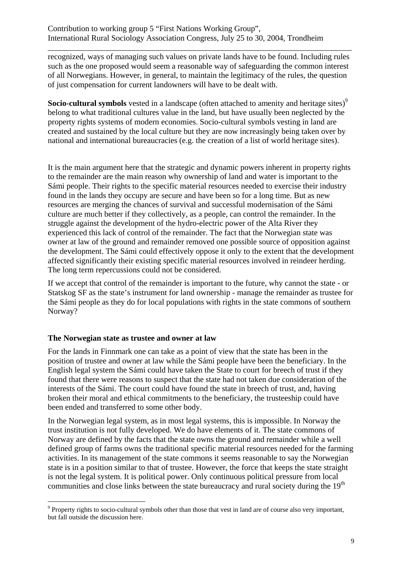recognized, ways of managing such values on private lands have to be found. Including rules such as the one proposed would seem a reasonable way of safeguarding the common interest of all Norwegians. However, in general, to maintain the legitimacy of the rules, the question of just compensation for current landowners will have to be dealt with.

\_\_\_\_\_\_\_\_\_\_\_\_\_\_\_\_\_\_\_\_\_\_\_\_\_\_\_\_\_\_\_\_\_\_\_\_\_\_\_\_\_\_\_\_\_\_\_\_\_\_\_\_\_\_\_\_\_\_\_\_\_\_\_\_\_\_\_\_\_\_\_\_\_\_\_

**Socio-cultural symbols** vested in a landscape (often attached to amenity and heritage sites)<sup>9</sup> belong to what traditional cultures value in the land, but have usually been neglected by the property rights systems of modern economies. Socio-cultural symbols vesting in land are created and sustained by the local culture but they are now increasingly being taken over by national and international bureaucracies (e.g. the creation of a list of world heritage sites).

It is the main argument here that the strategic and dynamic powers inherent in property rights to the remainder are the main reason why ownership of land and water is important to the Sámi people. Their rights to the specific material resources needed to exercise their industry found in the lands they occupy are secure and have been so for a long time. But as new resources are merging the chances of survival and successful modernisation of the Sámi culture are much better if they collectively, as a people, can control the remainder. In the struggle against the development of the hydro-electric power of the Alta River they experienced this lack of control of the remainder. The fact that the Norwegian state was owner at law of the ground and remainder removed one possible source of opposition against the development. The Sámi could effectively oppose it only to the extent that the development affected significantly their existing specific material resources involved in reindeer herding. The long term repercussions could not be considered.

If we accept that control of the remainder is important to the future, why cannot the state - or Statskog SF as the state's instrument for land ownership - manage the remainder as trustee for the Sámi people as they do for local populations with rights in the state commons of southern Norway?

## **The Norwegian state as trustee and owner at law**

1

For the lands in Finnmark one can take as a point of view that the state has been in the position of trustee and owner at law while the Sámi people have been the beneficiary. In the English legal system the Sámi could have taken the State to court for breech of trust if they found that there were reasons to suspect that the state had not taken due consideration of the interests of the Sámi. The court could have found the state in breech of trust, and, having broken their moral and ethical commitments to the beneficiary, the trusteeship could have been ended and transferred to some other body.

In the Norwegian legal system, as in most legal systems, this is impossible. In Norway the trust institution is not fully developed. We do have elements of it. The state commons of Norway are defined by the facts that the state owns the ground and remainder while a well defined group of farms owns the traditional specific material resources needed for the farming activities. In its management of the state commons it seems reasonable to say the Norwegian state is in a position similar to that of trustee. However, the force that keeps the state straight is not the legal system. It is political power. Only continuous political pressure from local communities and close links between the state bureaucracy and rural society during the 19<sup>th</sup>

<sup>&</sup>lt;sup>9</sup> Property rights to socio-cultural symbols other than those that vest in land are of course also very important, but fall outside the discussion here.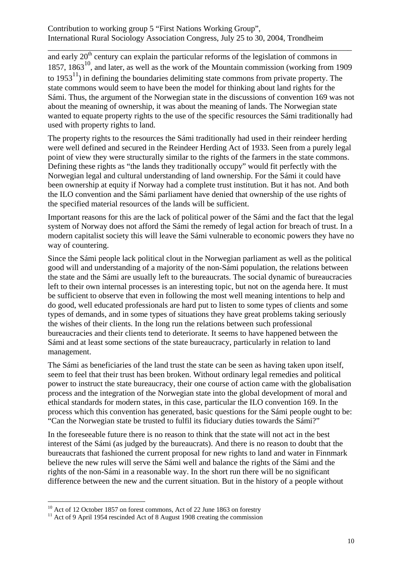and early  $20<sup>th</sup>$  century can explain the particular reforms of the legislation of commons in 1857,  $1863^{10}$ , and later, as well as the work of the Mountain commission (working from 1909 to  $1953<sup>11</sup>$  in defining the boundaries delimiting state commons from private property. The state commons would seem to have been the model for thinking about land rights for the Sámi. Thus, the argument of the Norwegian state in the discussions of convention 169 was not about the meaning of ownership, it was about the meaning of lands. The Norwegian state wanted to equate property rights to the use of the specific resources the Sámi traditionally had used with property rights to land.

\_\_\_\_\_\_\_\_\_\_\_\_\_\_\_\_\_\_\_\_\_\_\_\_\_\_\_\_\_\_\_\_\_\_\_\_\_\_\_\_\_\_\_\_\_\_\_\_\_\_\_\_\_\_\_\_\_\_\_\_\_\_\_\_\_\_\_\_\_\_\_\_\_\_\_

The property rights to the resources the Sámi traditionally had used in their reindeer herding were well defined and secured in the Reindeer Herding Act of 1933. Seen from a purely legal point of view they were structurally similar to the rights of the farmers in the state commons. Defining these rights as "the lands they traditionally occupy" would fit perfectly with the Norwegian legal and cultural understanding of land ownership. For the Sámi it could have been ownership at equity if Norway had a complete trust institution. But it has not. And both the ILO convention and the Sámi parliament have denied that ownership of the use rights of the specified material resources of the lands will be sufficient.

Important reasons for this are the lack of political power of the Sámi and the fact that the legal system of Norway does not afford the Sámi the remedy of legal action for breach of trust. In a modern capitalist society this will leave the Sámi vulnerable to economic powers they have no way of countering.

Since the Sámi people lack political clout in the Norwegian parliament as well as the political good will and understanding of a majority of the non-Sámi population, the relations between the state and the Sámi are usually left to the bureaucrats. The social dynamic of bureaucracies left to their own internal processes is an interesting topic, but not on the agenda here. It must be sufficient to observe that even in following the most well meaning intentions to help and do good, well educated professionals are hard put to listen to some types of clients and some types of demands, and in some types of situations they have great problems taking seriously the wishes of their clients. In the long run the relations between such professional bureaucracies and their clients tend to deteriorate. It seems to have happened between the Sámi and at least some sections of the state bureaucracy, particularly in relation to land management.

The Sámi as beneficiaries of the land trust the state can be seen as having taken upon itself, seem to feel that their trust has been broken. Without ordinary legal remedies and political power to instruct the state bureaucracy, their one course of action came with the globalisation process and the integration of the Norwegian state into the global development of moral and ethical standards for modern states, in this case, particular the ILO convention 169. In the process which this convention has generated, basic questions for the Sámi people ought to be: "Can the Norwegian state be trusted to fulfil its fiduciary duties towards the Sámi?"

In the foreseeable future there is no reason to think that the state will not act in the best interest of the Sámi (as judged by the bureaucrats). And there is no reason to doubt that the bureaucrats that fashioned the current proposal for new rights to land and water in Finnmark believe the new rules will serve the Sámi well and balance the rights of the Sámi and the rights of the non-Sámi in a reasonable way. In the short run there will be no significant difference between the new and the current situation. But in the history of a people without

 $10<sup>10</sup>$  Act of 12 October 1857 on forest commons, Act of 22 June 1863 on forestry

<sup>&</sup>lt;sup>11</sup> Act of 9 April 1954 rescinded Act of 8 August 1908 creating the commission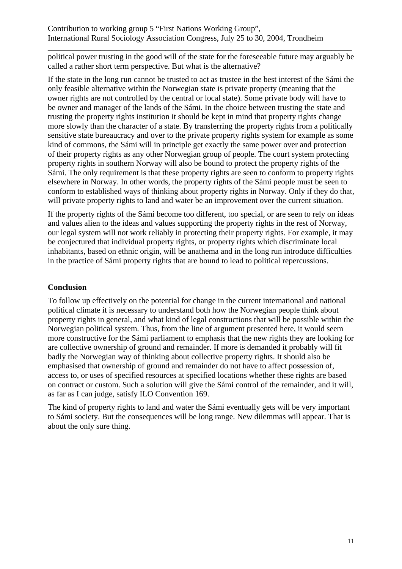\_\_\_\_\_\_\_\_\_\_\_\_\_\_\_\_\_\_\_\_\_\_\_\_\_\_\_\_\_\_\_\_\_\_\_\_\_\_\_\_\_\_\_\_\_\_\_\_\_\_\_\_\_\_\_\_\_\_\_\_\_\_\_\_\_\_\_\_\_\_\_\_\_\_\_ political power trusting in the good will of the state for the foreseeable future may arguably be called a rather short term perspective. But what is the alternative?

If the state in the long run cannot be trusted to act as trustee in the best interest of the Sámi the only feasible alternative within the Norwegian state is private property (meaning that the owner rights are not controlled by the central or local state). Some private body will have to be owner and manager of the lands of the Sámi. In the choice between trusting the state and trusting the property rights institution it should be kept in mind that property rights change more slowly than the character of a state. By transferring the property rights from a politically sensitive state bureaucracy and over to the private property rights system for example as some kind of commons, the Sámi will in principle get exactly the same power over and protection of their property rights as any other Norwegian group of people. The court system protecting property rights in southern Norway will also be bound to protect the property rights of the Sámi. The only requirement is that these property rights are seen to conform to property rights elsewhere in Norway. In other words, the property rights of the Sámi people must be seen to conform to established ways of thinking about property rights in Norway. Only if they do that, will private property rights to land and water be an improvement over the current situation.

If the property rights of the Sámi become too different, too special, or are seen to rely on ideas and values alien to the ideas and values supporting the property rights in the rest of Norway, our legal system will not work reliably in protecting their property rights. For example, it may be conjectured that individual property rights, or property rights which discriminate local inhabitants, based on ethnic origin, will be anathema and in the long run introduce difficulties in the practice of Sámi property rights that are bound to lead to political repercussions.

## **Conclusion**

To follow up effectively on the potential for change in the current international and national political climate it is necessary to understand both how the Norwegian people think about property rights in general, and what kind of legal constructions that will be possible within the Norwegian political system. Thus, from the line of argument presented here, it would seem more constructive for the Sámi parliament to emphasis that the new rights they are looking for are collective ownership of ground and remainder. If more is demanded it probably will fit badly the Norwegian way of thinking about collective property rights. It should also be emphasised that ownership of ground and remainder do not have to affect possession of, access to, or uses of specified resources at specified locations whether these rights are based on contract or custom. Such a solution will give the Sámi control of the remainder, and it will, as far as I can judge, satisfy ILO Convention 169.

The kind of property rights to land and water the Sámi eventually gets will be very important to Sámi society. But the consequences will be long range. New dilemmas will appear. That is about the only sure thing.